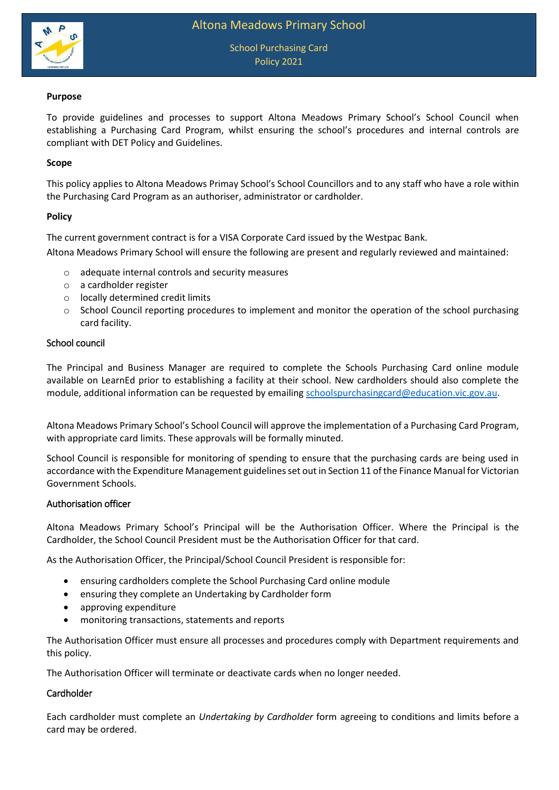



# **Purpose**

To provide guidelines and processes to support Altona Meadows Primary School's School Council when establishing a Purchasing Card Program, whilst ensuring the school's procedures and internal controls are compliant with DET Policy and Guidelines.

# **Scope**

This policy applies to Altona Meadows Primay School's School Councillors and to any staff who have a role within the Purchasing Card Program as an authoriser, administrator or cardholder.

### **Policy**

The current government contract is for a VISA Corporate Card issued by the Westpac Bank. Altona Meadows Primary School will ensure the following are present and regularly reviewed and maintained:

- o adequate internal controls and security measures
- o a cardholder register
- o locally determined credit limits
- $\circ$  School Council reporting procedures to implement and monitor the operation of the school purchasing card facility.

### School council

The Principal and Business Manager are required to complete the Schools Purchasing Card online module available on LearnEd prior to establishing a facility at their school. New cardholders should also complete the module, additional information can be requested by emailing [schoolspurchasingcard@education.vic.gov.au.](mailto:schoolspurchasingcard@education.vic.gov.au)

Altona Meadows Primary School's School Council will approve the implementation of a Purchasing Card Program, with appropriate card limits. These approvals will be formally minuted.

School Council is responsible for monitoring of spending to ensure that the purchasing cards are being used in accordance with the Expenditure Management guidelines set out in Section 11 of the Finance Manual for Victorian Government Schools.

### Authorisation officer

Altona Meadows Primary School's Principal will be the Authorisation Officer. Where the Principal is the Cardholder, the School Council President must be the Authorisation Officer for that card.

As the Authorisation Officer, the Principal/School Council President is responsible for:

- ensuring cardholders complete the School Purchasing Card online module
- ensuring they complete an Undertaking by Cardholder form
- approving expenditure
- monitoring transactions, statements and reports

The Authorisation Officer must ensure all processes and procedures comply with Department requirements and this policy.

The Authorisation Officer will terminate or deactivate cards when no longer needed.

# Cardholder

Each cardholder must complete an *Undertaking by Cardholder* form agreeing to conditions and limits before a card may be ordered.